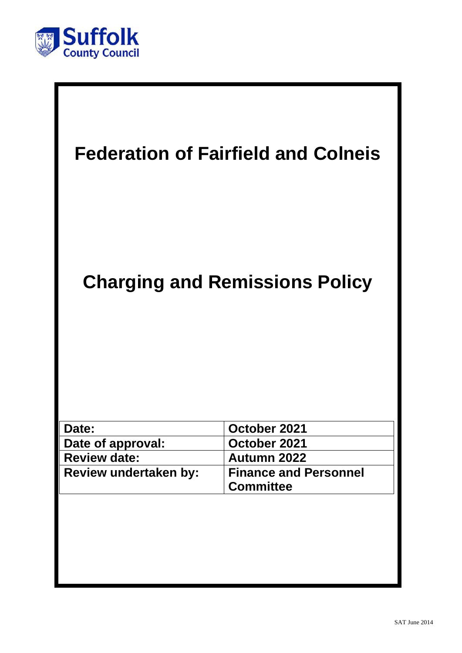

| <b>Federation of Fairfield and Colneis</b> |                                                  |
|--------------------------------------------|--------------------------------------------------|
| <b>Charging and Remissions Policy</b>      |                                                  |
|                                            |                                                  |
| Date:                                      | October 2021                                     |
| Date of approval:<br><b>Review date:</b>   | October 2021<br>Autumn 2022                      |
| Review undertaken by:                      | <b>Finance and Personnel</b><br><b>Committee</b> |
|                                            |                                                  |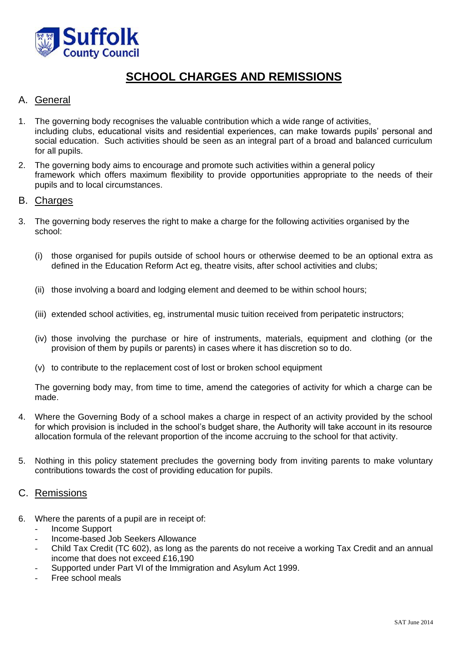

# **SCHOOL CHARGES AND REMISSIONS**

## A. General

- 1. The governing body recognises the valuable contribution which a wide range of activities, including clubs, educational visits and residential experiences, can make towards pupils' personal and social education. Such activities should be seen as an integral part of a broad and balanced curriculum for all pupils.
- 2. The governing body aims to encourage and promote such activities within a general policy framework which offers maximum flexibility to provide opportunities appropriate to the needs of their pupils and to local circumstances.

### B. Charges

- 3. The governing body reserves the right to make a charge for the following activities organised by the school:
	- (i) those organised for pupils outside of school hours or otherwise deemed to be an optional extra as defined in the Education Reform Act eg, theatre visits, after school activities and clubs;
	- (ii) those involving a board and lodging element and deemed to be within school hours;
	- (iii) extended school activities, eg, instrumental music tuition received from peripatetic instructors;
	- (iv) those involving the purchase or hire of instruments, materials, equipment and clothing (or the provision of them by pupils or parents) in cases where it has discretion so to do.
	- (v) to contribute to the replacement cost of lost or broken school equipment

The governing body may, from time to time, amend the categories of activity for which a charge can be made.

- 4. Where the Governing Body of a school makes a charge in respect of an activity provided by the school for which provision is included in the school's budget share, the Authority will take account in its resource allocation formula of the relevant proportion of the income accruing to the school for that activity.
- 5. Nothing in this policy statement precludes the governing body from inviting parents to make voluntary contributions towards the cost of providing education for pupils.

### C. Remissions

- 6. Where the parents of a pupil are in receipt of:
	- Income Support
	- Income-based Job Seekers Allowance
	- Child Tax Credit (TC 602), as long as the parents do not receive a working Tax Credit and an annual income that does not exceed £16,190
	- Supported under Part VI of the Immigration and Asylum Act 1999.
	- Free school meals